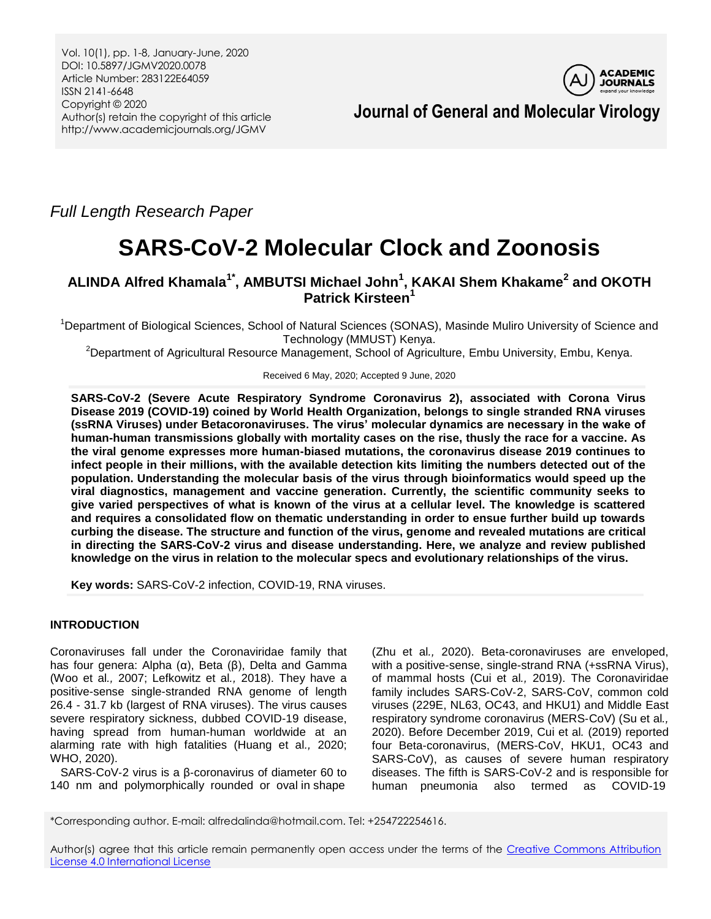

**Journal of General and Molecular Virology**

*Full Length Research Paper*

# **SARS-CoV-2 Molecular Clock and Zoonosis**

## **ALINDA Alfred Khamala1\* , AMBUTSI Michael John<sup>1</sup> , KAKAI Shem Khakame<sup>2</sup> and OKOTH Patrick Kirsteen<sup>1</sup>**

<sup>1</sup>Department of Biological Sciences, School of Natural Sciences (SONAS), Masinde Muliro University of Science and Technology (MMUST) Kenya.

<sup>2</sup>Department of Agricultural Resource Management, School of Agriculture, Embu University, Embu, Kenya.

Received 6 May, 2020; Accepted 9 June, 2020

**SARS-CoV-2 (Severe Acute Respiratory Syndrome Coronavirus 2), associated with Corona Virus Disease 2019 (COVID-19) coined by World Health Organization, belongs to single stranded RNA viruses (ssRNA Viruses) under Betacoronaviruses. The virus' molecular dynamics are necessary in the wake of human-human transmissions globally with mortality cases on the rise, thusly the race for a vaccine. As the viral genome expresses more human-biased mutations, the coronavirus disease 2019 continues to infect people in their millions, with the available detection kits limiting the numbers detected out of the population. Understanding the molecular basis of the virus through bioinformatics would speed up the viral diagnostics, management and vaccine generation. Currently, the scientific community seeks to give varied perspectives of what is known of the virus at a cellular level. The knowledge is scattered and requires a consolidated flow on thematic understanding in order to ensue further build up towards curbing the disease. The structure and function of the virus, genome and revealed mutations are critical in directing the SARS-CoV-2 virus and disease understanding. Here, we analyze and review published knowledge on the virus in relation to the molecular specs and evolutionary relationships of the virus.** 

**Key words:** SARS-CoV-2 infection, COVID-19, RNA viruses.

## **INTRODUCTION**

Coronaviruses fall under the Coronaviridae family that has four genera: Alpha (α), Beta (β), Delta and Gamma (Woo et al*.,* 2007; Lefkowitz et al*.,* 2018). They have a positive-sense single-stranded RNA genome of length 26.4 - 31.7 kb (largest of RNA viruses). The virus causes severe respiratory sickness, dubbed COVID-19 disease, having spread from human-human worldwide at an alarming rate with high fatalities (Huang et al*.,* 2020; WHO, 2020).

SARS-CoV-2 virus is a β-coronavirus of diameter 60 to 140 nm and polymorphically rounded or oval in shape

(Zhu et al*.,* 2020). Beta-coronaviruses are enveloped, with a positive-sense, single-strand RNA (+ssRNA Virus), of mammal hosts (Cui et al*.,* 2019). The Coronaviridae family includes SARS‐CoV‐2, SARS‐CoV, common cold viruses (229E, NL63, OC43, and HKU1) and Middle East respiratory syndrome coronavirus (MERS‐CoV) (Su et al*.,* 2020). Before December 2019, Cui et al*.* (2019) reported four Beta-coronavirus, (MERS-CoV, HKU1, OC43 and SARS-CoV), as causes of severe human respiratory diseases. The fifth is SARS-CoV-2 and is responsible for human pneumonia also termed as COVID-19

\*Corresponding author. E-mail: alfredalinda@hotmail.com. Tel: +254722254616.

Author(s) agree that this article remain permanently open access under the terms of the Creative Commons Attribution [License 4.0 International License](http://creativecommons.org/licenses/by/4.0/deed.en_US)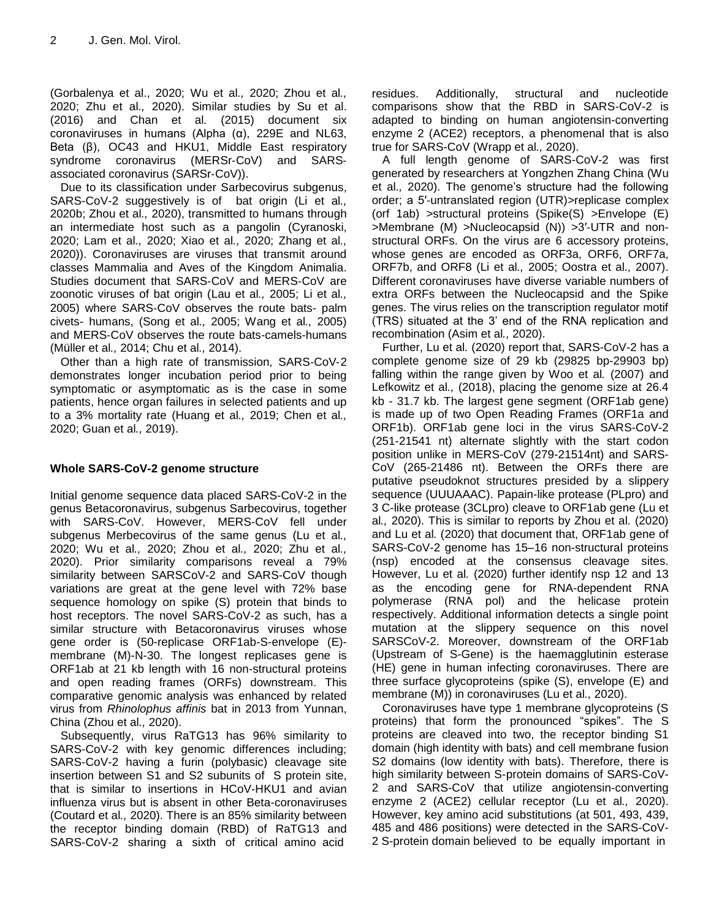(Gorbalenya et al., 2020; Wu et al*.,* 2020; Zhou et al*.,* 2020; Zhu et al*.,* 2020). Similar studies by Su et al. (2016) and Chan et al*.* (2015) document six coronaviruses in humans (Alpha (α), 229E and NL63, Beta (β), OC43 and HKU1, Middle East respiratory syndrome coronavirus (MERSr‐CoV) and SARS‐ associated coronavirus (SARSr‐CoV)).

Due to its classification under Sarbecovirus subgenus, SARS-CoV-2 suggestively is of bat origin (Li et al*.,* 2020b; Zhou et al*.,* 2020), transmitted to humans through an intermediate host such as a pangolin (Cyranoski, 2020; Lam et al*.,* 2020; Xiao et al*.,* 2020; Zhang et al*.,* 2020)). Coronaviruses are viruses that transmit around classes Mammalia and Aves of the Kingdom Animalia. Studies document that SARS‐CoV and MERS‐CoV are zoonotic viruses of bat origin (Lau et al*.,* 2005; Li et al*.,* 2005) where SARS‐CoV observes the route bats- palm civets- humans, (Song et al*.,* 2005; Wang et al*.,* 2005) and MERS‐CoV observes the route bats-camels-humans (Müller et al*.,* 2014; Chu et al*.,* 2014).

Other than a high rate of transmission, SARS‐CoV‐2 demonstrates longer incubation period prior to being symptomatic or asymptomatic as is the case in some patients, hence organ failures in selected patients and up to a 3% mortality rate (Huang et al*.,* 2019; Chen et al*.,* 2020; Guan et al*.,* 2019).

## **Whole SARS-CoV-2 genome structure**

Initial genome sequence data placed SARS-CoV-2 in the genus Betacoronavirus, subgenus Sarbecovirus, together with SARS-CoV. However, MERS-CoV fell under subgenus Merbecovirus of the same genus (Lu et al*.,* 2020; Wu et al*.,* 2020; Zhou et al*.,* 2020; Zhu et al*.,* 2020). Prior similarity comparisons reveal a 79% similarity between SARSCoV-2 and SARS-CoV though variations are great at the gene level with 72% base sequence homology on spike (S) protein that binds to host receptors. The novel SARS-CoV-2 as such, has a similar structure with Betacoronavirus viruses whose gene order is (50-replicase ORF1ab-S-envelope (E) membrane (M)-N-30. The longest replicases gene is ORF1ab at 21 kb length with 16 non-structural proteins and open reading frames (ORFs) downstream. This comparative genomic analysis was enhanced by related virus from *Rhinolophus affinis* bat in 2013 from Yunnan, China (Zhou et al*.,* 2020).

Subsequently, virus RaTG13 has 96% similarity to SARS-CoV-2 with key genomic differences including; SARS-CoV-2 having a furin (polybasic) cleavage site insertion between S1 and S2 subunits of S protein site, that is similar to insertions in HCoV-HKU1 and avian influenza virus but is absent in other Beta-coronaviruses (Coutard et al*.,* 2020). There is an 85% similarity between the receptor binding domain (RBD) of RaTG13 and SARS-CoV-2 sharing a sixth of critical amino acid

residues. Additionally, structural and nucleotide comparisons show that the RBD in SARS-CoV-2 is adapted to binding on human angiotensin-converting enzyme 2 (ACE2) receptors, a phenomenal that is also true for SARS-CoV (Wrapp et al*.,* 2020).

A full length genome of SARS-CoV-2 was first generated by researchers at Yongzhen Zhang China (Wu et al*.,* 2020). The genome's structure had the following order; a 5′‐untranslated region (UTR)>replicase complex (orf 1ab) >structural proteins (Spike(S) >Envelope (E) >Membrane (M) >Nucleocapsid (N)) >3′‐UTR and nonstructural ORFs. On the virus are 6 accessory proteins, whose genes are encoded as ORF3a, ORF6, ORF7a, ORF7b, and ORF8 (Li et al*.,* 2005; Oostra et al*.,* 2007). Different coronaviruses have diverse variable numbers of extra ORFs between the Nucleocapsid and the Spike genes. The virus relies on the transcription regulator motif (TRS) situated at the 3' end of the RNA replication and recombination (Asim et al*.,* 2020).

Further, Lu et al*.* (2020) report that, SARS-CoV-2 has a complete genome size of 29 kb (29825 bp-29903 bp) falling within the range given by Woo et al*.* (2007) and Lefkowitz et al*.,* (2018), placing the genome size at 26.4 kb - 31.7 kb. The largest gene segment (ORF1ab gene) is made up of two Open Reading Frames (ORF1a and ORF1b). ORF1ab gene loci in the virus SARS-CoV-2 (251-21541 nt) alternate slightly with the start codon position unlike in MERS-CoV (279-21514nt) and SARS-CoV (265-21486 nt). Between the ORFs there are putative pseudoknot structures presided by a slippery sequence (UUUAAAC). Papain-like protease (PLpro) and 3 C-like protease (3CLpro) cleave to ORF1ab gene (Lu et al*.,* 2020). This is similar to reports by Zhou et al*.* (2020) and Lu et al*.* (2020) that document that, ORF1ab gene of SARS-CoV-2 genome has 15–16 non-structural proteins (nsp) encoded at the consensus cleavage sites. However, Lu et al*.* (2020) further identify nsp 12 and 13 as the encoding gene for RNA-dependent RNA polymerase (RNA pol) and the helicase protein respectively. Additional information detects a single point mutation at the slippery sequence on this novel SARSCoV-2. Moreover, downstream of the ORF1ab (Upstream of S-Gene) is the haemagglutinin esterase (HE) gene in human infecting coronaviruses. There are three surface glycoproteins (spike (S), envelope (E) and membrane (M)) in coronaviruses (Lu et al*.,* 2020).

Coronaviruses have type 1 membrane glycoproteins (S proteins) that form the pronounced "spikes". The S proteins are cleaved into two, the receptor binding S1 domain (high identity with bats) and cell membrane fusion S2 domains (low identity with bats). Therefore, there is high similarity between S-protein domains of SARS-CoV-2 and SARS-CoV that utilize angiotensin-converting enzyme 2 (ACE2) cellular receptor (Lu et al*.,* 2020). However, key amino acid substitutions (at 501, 493, 439, 485 and 486 positions) were detected in the SARS-CoV-2 S-protein domain believed to be equally important in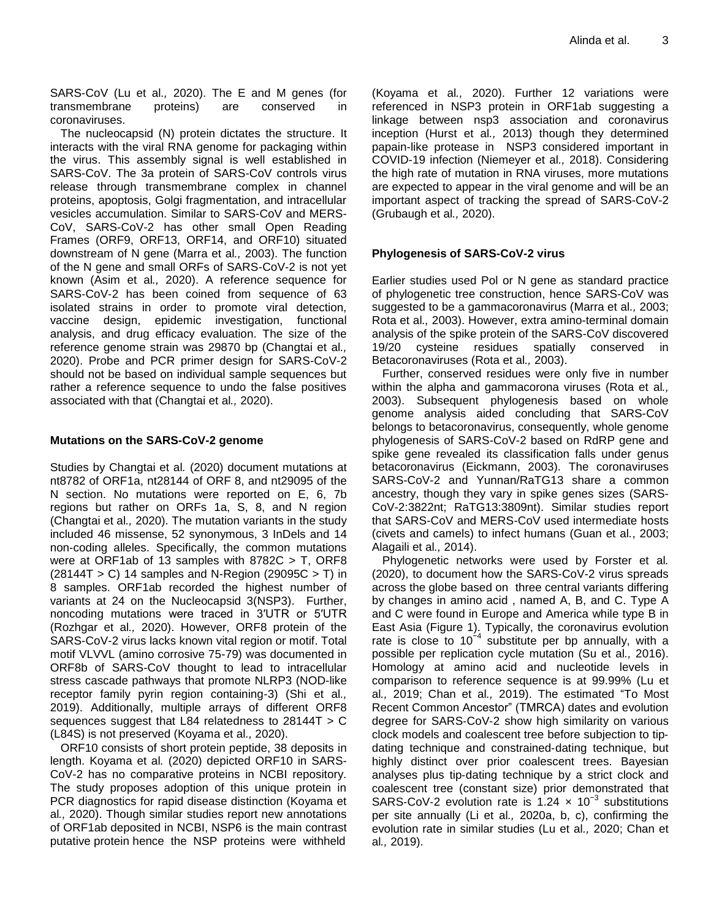SARS-CoV (Lu et al*.,* 2020). The E and M genes (for transmembrane proteins) are conserved in coronaviruses.

The nucleocapsid (N) protein dictates the structure. It interacts with the viral RNA genome for packaging within the virus. This assembly signal is well established in SARS-CoV. The 3a protein of SARS-CoV controls virus release through transmembrane complex in channel proteins, apoptosis, Golgi fragmentation, and intracellular vesicles accumulation. Similar to SARS-CoV and MERS-CoV, SARS-CoV-2 has other small Open Reading Frames (ORF9, ORF13, ORF14, and ORF10) situated downstream of N gene (Marra et al*.,* 2003). The function of the N gene and small ORFs of SARS-CoV-2 is not yet known (Asim et al*.,* 2020). A reference sequence for SARS-CoV-2 has been coined from sequence of 63 isolated strains in order to promote viral detection, vaccine design, epidemic investigation, functional analysis, and drug efficacy evaluation. The size of the reference genome strain was 29870 bp (Changtai et al*.,* 2020). Probe and PCR primer design for SARS-CoV-2 should not be based on individual sample sequences but rather a reference sequence to undo the false positives associated with that (Changtai et al*.,* 2020).

## **Mutations on the SARS-CoV-2 genome**

Studies by Changtai et al*.* (2020) document mutations at nt8782 of ORF1a, nt28144 of ORF 8, and nt29095 of the N section. No mutations were reported on E, 6, 7b regions but rather on ORFs 1a, S, 8, and N region (Changtai et al*.,* 2020). The mutation variants in the study included 46 missense, 52 synonymous, 3 InDels and 14 non-coding alleles. Specifically, the common mutations were at ORF1ab of 13 samples with 8782C > T, ORF8  $(28144T > C)$  14 samples and N-Region  $(29095C > T)$  in 8 samples. ORF1ab recorded the highest number of variants at 24 on the Nucleocapsid 3(NSP3). Further, noncoding mutations were traced in 3′UTR or 5′UTR (Rozhgar et al*.,* 2020). However, ORF8 protein of the SARS-CoV-2 virus lacks known vital region or motif. Total motif VLVVL (amino corrosive 75-79) was documented in ORF8b of SARS-CoV thought to lead to intracellular stress cascade pathways that promote NLRP3 (NOD-like receptor family pyrin region containing-3) (Shi et al*.,* 2019). Additionally, multiple arrays of different ORF8 sequences suggest that L84 relatedness to 28144T > C (L84S) is not preserved (Koyama et al*.,* 2020).

ORF10 consists of short protein peptide, 38 deposits in length. Koyama et al*.* (2020) depicted ORF10 in SARS-CoV-2 has no comparative proteins in NCBI repository. The study proposes adoption of this unique protein in PCR diagnostics for rapid disease distinction (Koyama et al*.,* 2020). Though similar studies report new annotations of ORF1ab deposited in NCBI, NSP6 is the main contrast putative protein hence the NSP proteins were withheld

(Koyama et al*.,* 2020). Further 12 variations were referenced in NSP3 protein in ORF1ab suggesting a linkage between nsp3 association and coronavirus inception (Hurst et al*.,* 2013) though they determined papain-like protease in NSP3 considered important in COVID-19 infection (Niemeyer et al*.,* 2018). Considering the high rate of mutation in RNA viruses, more mutations are expected to appear in the viral genome and will be an important aspect of tracking the spread of SARS-CoV-2 (Grubaugh et al*.,* 2020).

## **Phylogenesis of SARS-CoV-2 virus**

Earlier studies used Pol or N gene as standard practice of phylogenetic tree construction, hence SARS-CoV was suggested to be a gammacoronavirus (Marra et al*.,* 2003; Rota et al*.,* 2003). However, extra amino-terminal domain analysis of the spike protein of the SARS-CoV discovered 19/20 cysteine residues spatially conserved in Betacoronaviruses (Rota et al*.,* 2003).

Further, conserved residues were only five in number within the alpha and gammacorona viruses (Rota et al*.,* 2003). Subsequent phylogenesis based on whole genome analysis aided concluding that SARS-CoV belongs to betacoronavirus, consequently, whole genome phylogenesis of SARS-CoV-2 based on RdRP gene and spike gene revealed its classification falls under genus betacoronavirus (Eickmann, 2003). The coronaviruses SARS-CoV-2 and Yunnan/RaTG13 share a common ancestry, though they vary in spike genes sizes (SARS-CoV-2:3822nt; RaTG13:3809nt). Similar studies report that SARS-CoV and MERS-CoV used intermediate hosts (civets and camels) to infect humans (Guan et al*.*, 2003; Alagaili et al*.,* 2014).

Phylogenetic networks were used by Forster et al*.* (2020), to document how the SARS-CoV-2 virus spreads across the globe based on three central variants differing by changes in amino acid , named A, B, and C. Type A and C were found in Europe and America while type B in East Asia (Figure 1). Typically, the coronavirus evolution rate is close to 10<sup>-4</sup> substitute per bp annually, with a possible per replication cycle mutation (Su et al*.,* 2016). Homology at amino acid and nucleotide levels in comparison to reference sequence is at 99.99% (Lu et al*.,* 2019; Chan et al*.,* 2019). The estimated "To Most Recent Common Ancestor" (TMRCA) dates and evolution degree for SARS‐CoV‐2 show high similarity on various clock models and coalescent tree before subjection to tip‐ dating technique and constrained‐dating technique, but highly distinct over prior coalescent trees. Bayesian analyses plus tip‐dating technique by a strict clock and coalescent tree (constant size) prior demonstrated that SARS-CoV-2 evolution rate is 1.24  $\times$  10<sup>-3</sup> substitutions per site annually (Li et al*.,* 2020a, b, c), confirming the evolution rate in similar studies (Lu et al*.,* 2020; Chan et al*.,* 2019).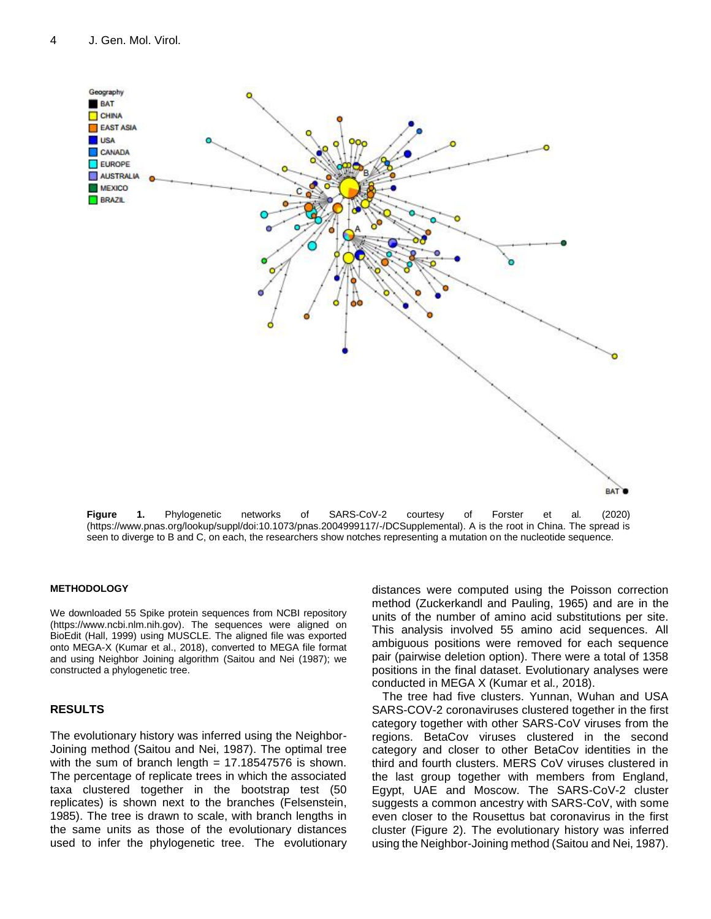

**Figure 1.** Phylogenetic networks of SARS-CoV-2 courtesy of Forster et al*.* (2020) (https://www.pnas.org/lookup/suppl/doi:10.1073/pnas.2004999117/-/DCSupplemental). A is the root in China. The spread is seen to diverge to B and C, on each, the researchers show notches representing a mutation on the nucleotide sequence.

#### **METHODOLOGY**

We downloaded 55 Spike protein sequences from NCBI repository (https://www.ncbi.nlm.nih.gov). The sequences were aligned on BioEdit (Hall, 1999) using MUSCLE. The aligned file was exported onto MEGA-X (Kumar et al., 2018), converted to MEGA file format and using Neighbor Joining algorithm (Saitou and Nei (1987); we constructed a phylogenetic tree.

#### **RESULTS**

The evolutionary history was inferred using the Neighbor-Joining method (Saitou and Nei, 1987). The optimal tree with the sum of branch length  $= 17.18547576$  is shown. The percentage of replicate trees in which the associated taxa clustered together in the bootstrap test (50 replicates) is shown next to the branches (Felsenstein, 1985). The tree is drawn to scale, with branch lengths in the same units as those of the evolutionary distances used to infer the phylogenetic tree. The evolutionary distances were computed using the Poisson correction method (Zuckerkandl and Pauling, 1965) and are in the units of the number of amino acid substitutions per site. This analysis involved 55 amino acid sequences. All ambiguous positions were removed for each sequence pair (pairwise deletion option). There were a total of 1358 positions in the final dataset. Evolutionary analyses were conducted in MEGA X (Kumar et al*.,* 2018).

The tree had five clusters. Yunnan, Wuhan and USA SARS-COV-2 coronaviruses clustered together in the first category together with other SARS-CoV viruses from the regions. BetaCov viruses clustered in the second category and closer to other BetaCov identities in the third and fourth clusters. MERS CoV viruses clustered in the last group together with members from England, Egypt, UAE and Moscow. The SARS-CoV-2 cluster suggests a common ancestry with SARS-CoV, with some even closer to the Rousettus bat coronavirus in the first cluster (Figure 2). The evolutionary history was inferred using the Neighbor-Joining method (Saitou and Nei, 1987).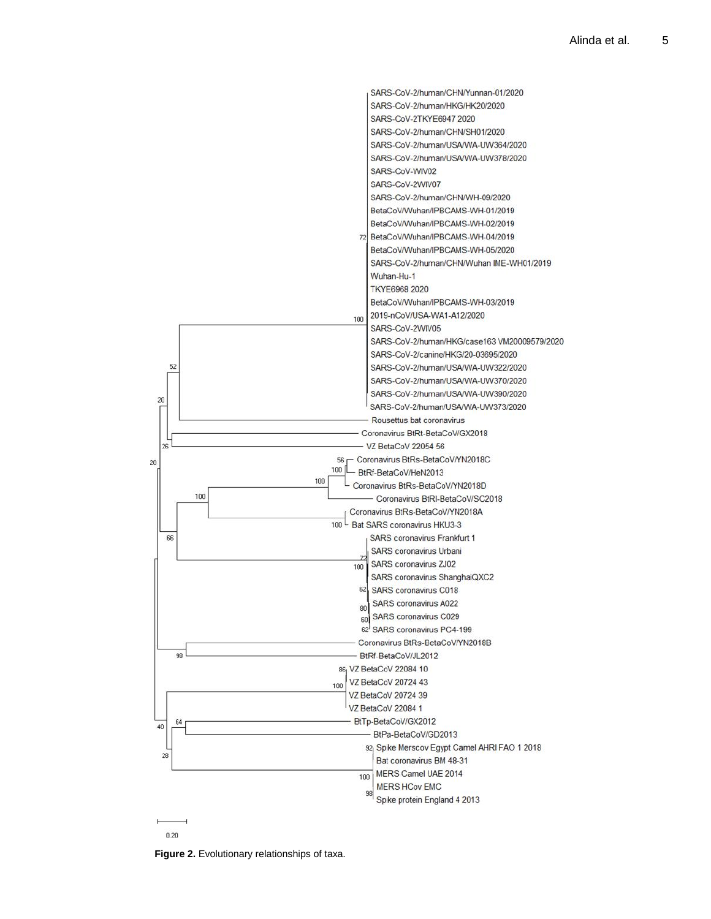

**Figure 2.** Evolutionary relationships of taxa.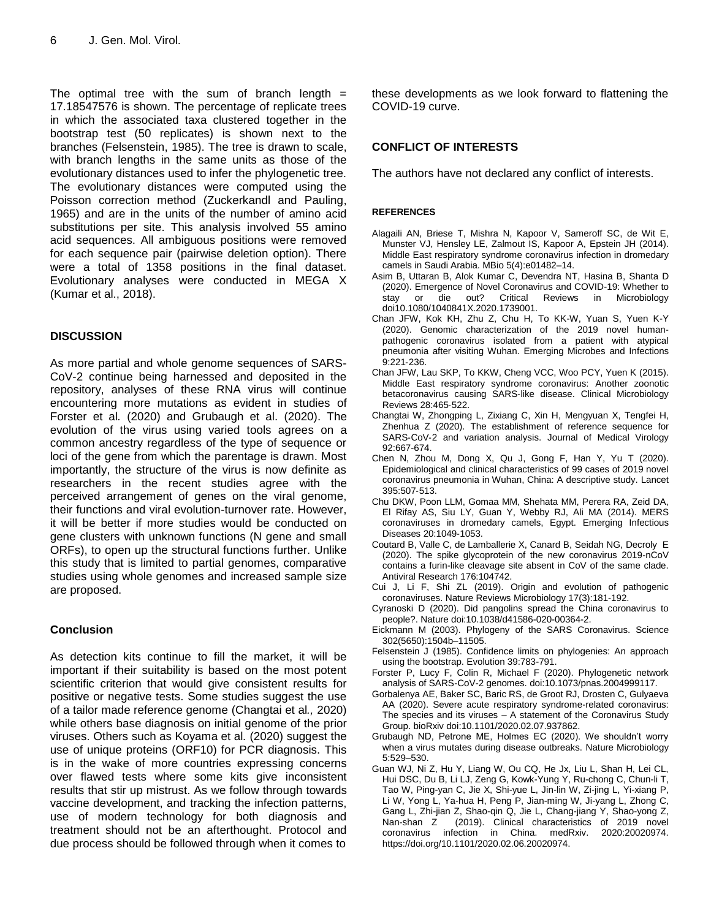The optimal tree with the sum of branch length  $=$ 17.18547576 is shown. The percentage of replicate trees in which the associated taxa clustered together in the bootstrap test (50 replicates) is shown next to the branches (Felsenstein, 1985). The tree is drawn to scale, with branch lengths in the same units as those of the evolutionary distances used to infer the phylogenetic tree. The evolutionary distances were computed using the Poisson correction method (Zuckerkandl and Pauling, 1965) and are in the units of the number of amino acid substitutions per site. This analysis involved 55 amino acid sequences. All ambiguous positions were removed for each sequence pair (pairwise deletion option). There were a total of 1358 positions in the final dataset. Evolutionary analyses were conducted in MEGA X (Kumar et al., 2018).

## **DISCUSSION**

As more partial and whole genome sequences of SARS-CoV-2 continue being harnessed and deposited in the repository, analyses of these RNA virus will continue encountering more mutations as evident in studies of Forster et al*.* (2020) and Grubaugh et al. (2020). The evolution of the virus using varied tools agrees on a common ancestry regardless of the type of sequence or loci of the gene from which the parentage is drawn. Most importantly, the structure of the virus is now definite as researchers in the recent studies agree with the perceived arrangement of genes on the viral genome, their functions and viral evolution-turnover rate. However, it will be better if more studies would be conducted on gene clusters with unknown functions (N gene and small ORFs), to open up the structural functions further. Unlike this study that is limited to partial genomes, comparative studies using whole genomes and increased sample size are proposed.

## **Conclusion**

As detection kits continue to fill the market, it will be important if their suitability is based on the most potent scientific criterion that would give consistent results for positive or negative tests. Some studies suggest the use of a tailor made reference genome (Changtai et al*.,* 2020) while others base diagnosis on initial genome of the prior viruses. Others such as Koyama et al*.* (2020) suggest the use of unique proteins (ORF10) for PCR diagnosis. This is in the wake of more countries expressing concerns over flawed tests where some kits give inconsistent results that stir up mistrust. As we follow through towards vaccine development, and tracking the infection patterns, use of modern technology for both diagnosis and treatment should not be an afterthought. Protocol and due process should be followed through when it comes to these developments as we look forward to flattening the COVID-19 curve.

## **CONFLICT OF INTERESTS**

The authors have not declared any conflict of interests.

#### **REFERENCES**

- Alagaili AN, Briese T, Mishra N, Kapoor V, Sameroff SC, de Wit E, Munster VJ, Hensley LE, Zalmout IS, Kapoor A, Epstein JH (2014). Middle East respiratory syndrome coronavirus infection in dromedary camels in Saudi Arabia. MBio 5(4):e01482–14.
- Asim B, Uttaran B, Alok Kumar C, Devendra NT, Hasina B, Shanta D (2020). Emergence of Novel Coronavirus and COVID-19: Whether to stay or die out? Critical Reviews in Microbiology doi10.1080/1040841X.2020.1739001.
- Chan JFW, Kok KH, Zhu Z, Chu H, To KK-W, Yuan S, Yuen K-Y (2020). Genomic characterization of the 2019 novel human‐ pathogenic coronavirus isolated from a patient with atypical pneumonia after visiting Wuhan. Emerging Microbes and Infections 9:221‐236.
- Chan JFW, Lau SKP, To KKW, Cheng VCC, Woo PCY, Yuen K (2015). Middle East respiratory syndrome coronavirus: Another zoonotic betacoronavirus causing SARS‐like disease. Clinical Microbiology Reviews 28:465‐522.
- Changtai W, Zhongping L, Zixiang C, Xin H, Mengyuan X, Tengfei H, Zhenhua Z (2020). The establishment of reference sequence for SARS-CoV-2 and variation analysis. Journal of Medical Virology 92:667-674.
- Chen N, Zhou M, Dong X, Qu J, Gong F, Han Y, Yu T (2020). Epidemiological and clinical characteristics of 99 cases of 2019 novel coronavirus pneumonia in Wuhan, China: A descriptive study. Lancet 395:507‐513.
- Chu DKW, Poon LLM, Gomaa MM, Shehata MM, Perera RA, Zeid DA, El Rifay AS, Siu LY, Guan Y, Webby RJ, Ali MA (2014). MERS coronaviruses in dromedary camels, Egypt. Emerging Infectious Diseases 20:1049‐1053.
- Coutard B, Valle C, de Lamballerie X, Canard B, Seidah NG, Decroly E (2020). The spike glycoprotein of the new coronavirus 2019-nCoV contains a furin-like cleavage site absent in CoV of the same clade. Antiviral Research 176:104742.
- Cui J, Li F, Shi ZL (2019). Origin and evolution of pathogenic coronaviruses. Nature Reviews Microbiology 17(3):181-192.
- Cyranoski D (2020). Did pangolins spread the China coronavirus to people?. Nature doi:10.1038/d41586-020-00364-2.
- Eickmann M (2003). Phylogeny of the SARS Coronavirus. Science 302(5650):1504b–11505.
- Felsenstein J (1985). Confidence limits on phylogenies: An approach using the bootstrap. Evolution 39:783-791.
- Forster P, Lucy F, Colin R, Michael F (2020). Phylogenetic network analysis of SARS-CoV-2 genomes. doi:10.1073/pnas.2004999117.
- Gorbalenya AE, Baker SC, Baric RS, de Groot RJ, Drosten C, Gulyaeva AA (2020). Severe acute respiratory syndrome-related coronavirus: The species and its viruses – A statement of the Coronavirus Study Group. bioRxiv doi:10.1101/2020.02.07.937862.
- Grubaugh ND, Petrone ME, Holmes EC (2020). We shouldn't worry when a virus mutates during disease outbreaks. Nature Microbiology 5:529–530.
- Guan WJ, Ni Z, Hu Y, Liang W, Ou CQ, He Jx, Liu L, Shan H, Lei CL, Hui DSC, Du B, Li LJ, Zeng G, Kowk-Yung Y, Ru-chong C, Chun-li T, Tao W, Ping-yan C, Jie X, Shi-yue L, Jin-lin W, Zi-jing L, Yi-xiang P, Li W, Yong L, Ya-hua H, Peng P, Jian-ming W, Ji-yang L, Zhong C, Gang L, Zhi-jian Z, Shao-qin Q, Jie L, Chang-jiang Y, Shao-yong Z, Nan-shan Z (2019). Clinical characteristics of 2019 novel coronavirus infection in China. medRxiv. 2020:20020974. https://doi.org/10.1101/2020.02.06.20020974.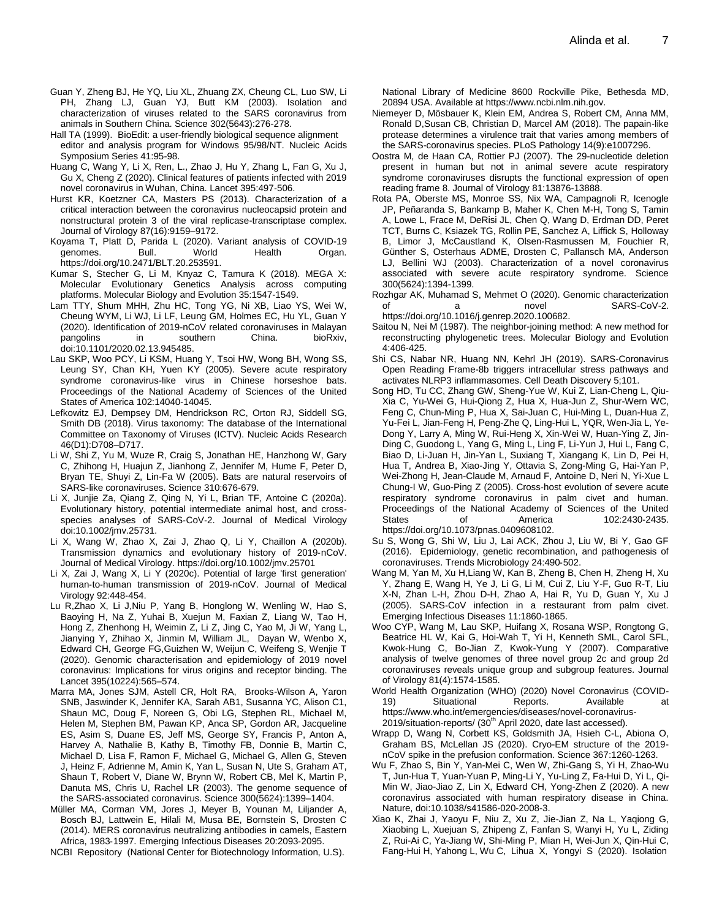- Guan Y, Zheng BJ, He YQ, Liu XL, Zhuang ZX, Cheung CL, Luo SW, Li PH, Zhang LJ, Guan YJ, Butt KM (2003). Isolation and characterization of viruses related to the SARS coronavirus from animals in Southern China. Science 302(5643):276-278.
- Hall TA (1999). BioEdit: a user-friendly biological sequence alignment editor and analysis program for Windows 95/98/NT. Nucleic Acids Symposium Series 41:95-98.
- Huang C, Wang Y, Li X, Ren, L., Zhao J, Hu Y, Zhang L, Fan G, Xu J, Gu X, Cheng Z (2020). Clinical features of patients infected with 2019 novel coronavirus in Wuhan, China. Lancet 395:497‐506.
- Hurst KR, Koetzner CA, Masters PS (2013). Characterization of a critical interaction between the coronavirus nucleocapsid protein and nonstructural protein 3 of the viral replicase-transcriptase complex. Journal of Virology 87(16):9159–9172.
- Koyama T, Platt D, Parida L (2020). Variant analysis of COVID-19 genomes. Bull. World Health Organ. https://doi.org/10.2471/BLT.20.253591.
- Kumar S, Stecher G, Li M, Knyaz C, Tamura K (2018). MEGA X: Molecular Evolutionary Genetics Analysis across computing platforms. Molecular Biology and Evolution 35:1547-1549.
- Lam TTY, Shum MHH, Zhu HC, Tong YG, Ni XB, Liao YS, Wei W, Cheung WYM, Li WJ, Li LF, Leung GM, Holmes EC, Hu YL, Guan Y (2020). Identification of 2019-nCoV related coronaviruses in Malayan pangolins in southern China. bioRxiv, doi:10.1101/2020.02.13.945485.
- Lau SKP, Woo PCY, Li KSM, Huang Y, Tsoi HW, Wong BH, Wong SS, Leung SY, Chan KH, Yuen KY (2005). Severe acute respiratory syndrome coronavirus-like virus in Chinese horseshoe bats. Proceedings of the National Academy of Sciences of the United States of America 102:14040‐14045.
- Lefkowitz EJ, Dempsey DM, Hendrickson RC, Orton RJ, Siddell SG, Smith DB (2018). Virus taxonomy: The database of the International Committee on Taxonomy of Viruses (ICTV). Nucleic Acids Research 46(D1):D708–D717.
- Li W, Shi Z, Yu M, Wuze R, Craig S, Jonathan HE, Hanzhong W, Gary C, Zhihong H, Huajun Z, Jianhong Z, Jennifer M, Hume F, Peter D, Bryan TE, Shuyi Z, Lin-Fa W (2005). Bats are natural reservoirs of SARS‐like coronaviruses. Science 310:676‐679.
- Li X, Junjie Za, Qiang Z, Qing N, Yi L, Brian TF, Antoine C (2020a). Evolutionary history, potential intermediate animal host, and cross‐ species analyses of SARS-CoV-2. Journal of Medical Virology doi:10.1002/jmv.25731.
- Li X, Wang W, Zhao X, Zai J, Zhao Q, Li Y, Chaillon A (2020b). Transmission dynamics and evolutionary history of 2019‐nCoV. Journal of Medical Virology. https://doi.org/10.1002/jmv.25701
- Li X, Zai J, Wang X, Li Y (2020c). Potential of large 'first generation' human‐to‐human transmission of 2019‐nCoV. Journal of Medical Virology 92:448‐454.
- Lu R,Zhao X, Li J,Niu P, Yang B, Honglong W, Wenling W, Hao S, Baoying H, Na Z, Yuhai B, Xuejun M, Faxian Z, Liang W, Tao H, Hong Z, Zhenhong H, Weimin Z, Li Z, Jing C, Yao M, Ji W, Yang L, Jianying Y, Zhihao X, Jinmin M, William JL, Dayan W, Wenbo X, Edward CH, George FG,Guizhen W, Weijun C, Weifeng S, Wenjie T (2020). Genomic characterisation and epidemiology of 2019 novel coronavirus: Implications for virus origins and receptor binding. The Lancet 395(10224):565–574.
- Marra MA, Jones SJM, Astell CR, Holt RA, Brooks-Wilson A, Yaron SNB, Jaswinder K, Jennifer KA, Sarah AB1, Susanna YC, Alison C1, Shaun MC, Doug F, Noreen G, Obi LG, Stephen RL, Michael M, Helen M, Stephen BM, Pawan KP, Anca SP, Gordon AR, Jacqueline ES, Asim S, Duane ES, Jeff MS, George SY, Francis P, Anton A, Harvey A, Nathalie B, Kathy B, Timothy FB, Donnie B, Martin C, Michael D, Lisa F, Ramon F, Michael G, Michael G, Allen G, Steven J, Heinz F, Adrienne M, Amin K, Yan L, Susan N, Ute S, Graham AT, Shaun T, Robert V, Diane W, Brynn W, Robert CB, Mel K, Martin P, Danuta MS, Chris U, Rachel LR (2003). The genome sequence of the SARS-associated coronavirus. Science 300(5624):1399–1404.
- Müller MA, Corman VM, Jores J, Meyer B, Younan M, Liljander A, Bosch BJ, Lattwein E, Hilali M, Musa BE, Bornstein S, Drosten C (2014). MERS coronavirus neutralizing antibodies in camels, Eastern Africa, 1983‐1997. Emerging Infectious Diseases 20:2093‐2095.

NCBI Repository (National Center for Biotechnology Information, U.S).

National Library of Medicine 8600 Rockville Pike, Bethesda MD, 20894 USA. Available at https://www.ncbi.nlm.nih.gov.

- Niemeyer D, Mösbauer K, Klein EM, Andrea S, Robert CM, Anna MM, Ronald D,Susan CB, Christian D, Marcel AM (2018). The papain-like protease determines a virulence trait that varies among members of the SARS-coronavirus species. PLoS Pathology 14(9):e1007296.
- Oostra M, de Haan CA, Rottier PJ (2007). The 29-nucleotide deletion present in human but not in animal severe acute respiratory syndrome coronaviruses disrupts the functional expression of open reading frame 8. Journal of Virology 81:13876-13888.
- Rota PA, Oberste MS, Monroe SS, Nix WA, Campagnoli R, Icenogle JP, Peñaranda S, Bankamp B, Maher K, Chen M-H, Tong S, Tamin A, Lowe L, Frace M, DeRisi JL, Chen Q, Wang D, Erdman DD, Peret TCT, Burns C, Ksiazek TG, Rollin PE, Sanchez A, Liffick S, Holloway B, Limor J, McCaustland K, Olsen-Rasmussen M, Fouchier R, Günther S, Osterhaus ADME, Drosten C, Pallansch MA, Anderson LJ, Bellini WJ (2003). Characterization of a novel coronavirus associated with severe acute respiratory syndrome. Science 300(5624):1394-1399.
- Rozhgar AK, Muhamad S, Mehmet O (2020). Genomic characterization of a novel SARS-CoV-2. https://doi.org/10.1016/j.genrep.2020.100682.
- Saitou N, Nei M (1987). The neighbor-joining method: A new method for reconstructing phylogenetic trees. Molecular Biology and Evolution 4:406-425.
- Shi CS, Nabar NR, Huang NN, Kehrl JH (2019). SARS-Coronavirus Open Reading Frame-8b triggers intracellular stress pathways and activates NLRP3 inflammasomes. Cell Death Discovery 5;101.
- Song HD, Tu CC, Zhang GW, Sheng-Yue W, Kui Z, Lian-Cheng L, Qiu-Xia C, Yu-Wei G, Hui-Qiong Z, Hua X, Hua-Jun Z, Shur-Wern WC, Feng C, Chun-Ming P, Hua X, Sai-Juan C, Hui-Ming L, Duan-Hua Z, Yu-Fei L, Jian-Feng H, Peng-Zhe Q, Ling-Hui L, YQR, Wen-Jia L, Ye-Dong Y, Larry A, Ming W, Rui-Heng X, Xin-Wei W, Huan-Ying Z, Jin-Ding C, Guodong L, Yang G, Ming L, Ling F, Li-Yun J, Hui L, Fang C, Biao D, Li-Juan H, Jin-Yan L, Suxiang T, Xiangang K, Lin D, Pei H, Hua T, Andrea B, Xiao-Jing Y, Ottavia S, Zong-Ming G, Hai-Yan P, Wei-Zhong H, Jean-Claude M, Arnaud F, Antoine D, Neri N, Yi-Xue L Chung-I W, Guo-Ping Z (2005). Cross‐host evolution of severe acute respiratory syndrome coronavirus in palm civet and human. Proceedings of the National Academy of Sciences of the United States of America 102:2430-2435. https://doi.org/10.1073/pnas.0409608102.
- Su S, Wong G, Shi W, Liu J, Lai ACK, Zhou J, Liu W, Bi Y, Gao GF (2016). Epidemiology, genetic recombination, and pathogenesis of coronaviruses. Trends Microbiology 24:490‐502.
- Wang M, Yan M, Xu H,Liang W, Kan B, Zheng B, Chen H, Zheng H, Xu Y, Zhang E, Wang H, Ye J, Li G, Li M, Cui Z, Liu Y-F, Guo R-T, Liu X-N, Zhan L-H, Zhou D-H, Zhao A, Hai R, Yu D, Guan Y, Xu J (2005). SARS‐CoV infection in a restaurant from palm civet. Emerging Infectious Diseases 11:1860‐1865.
- Woo CYP, Wang M, Lau SKP, Huifang X, Rosana WSP, Rongtong G, Beatrice HL W, Kai G, Hoi-Wah T, Yi H, Kenneth SML, Carol SFL, Kwok-Hung C, Bo-Jian Z, Kwok-Yung Y (2007). Comparative analysis of twelve genomes of three novel group 2c and group 2d coronaviruses reveals unique group and subgroup features. Journal of Virology 81(4):1574-1585.
- World Health Organization (WHO) (2020) Novel Coronavirus (COVID-19) Situational Reports. Available at https://www.who.int/emergencies/diseases/novel-coronavirus-2019/situation-reports/ (30<sup>th</sup> April 2020, date last accessed).
- Wrapp D, Wang N, Corbett KS, Goldsmith JA, Hsieh C-L, Abiona O, Graham BS, McLellan JS (2020). Cryo-EM structure of the 2019 nCoV spike in the prefusion conformation. Science 367:1260-1263.
- Wu F, Zhao S, Bin Y, Yan-Mei C, Wen W, Zhi-Gang S, Yi H, Zhao-Wu T, Jun-Hua T, Yuan-Yuan P, Ming-Li Y, Yu-Ling Z, Fa-Hui D, Yi L, Qi-Min W, Jiao-Jiao Z, Lin X, Edward CH, Yong-Zhen Z (2020). A new coronavirus associated with human respiratory disease in China. Nature, doi:10.1038/s41586-020-2008-3.
- Xiao K, Zhai J, Yaoyu F, Niu Z, Xu Z, Jie-Jian Z, Na L, Yaqiong G, Xiaobing L, Xuejuan S, Zhipeng Z, Fanfan S, Wanyi H, Yu L, Ziding Z, Rui-Ai C, Ya-Jiang W, Shi-Ming P, Mian H, Wei-Jun X, Qin-Hui C, Fang-Hui H, Yahong L, Wu C, Lihua X, Yongyi S (2020). Isolation